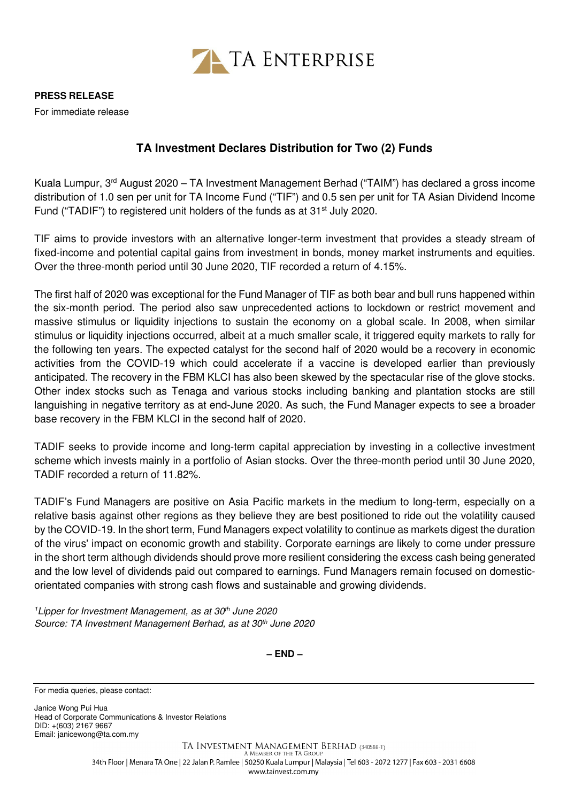

**PRESS RELEASE** 

For immediate release

## **TA Investment Declares Distribution for Two (2) Funds**

Kuala Lumpur, 3rd August 2020 – TA Investment Management Berhad ("TAIM") has declared a gross income distribution of 1.0 sen per unit for TA Income Fund ("TIF") and 0.5 sen per unit for TA Asian Dividend Income Fund ("TADIF") to registered unit holders of the funds as at 31<sup>st</sup> July 2020.

TIF aims to provide investors with an alternative longer-term investment that provides a steady stream of fixed-income and potential capital gains from investment in bonds, money market instruments and equities. Over the three-month period until 30 June 2020, TIF recorded a return of 4.15%.

The first half of 2020 was exceptional for the Fund Manager of TIF as both bear and bull runs happened within the six-month period. The period also saw unprecedented actions to lockdown or restrict movement and massive stimulus or liquidity injections to sustain the economy on a global scale. In 2008, when similar stimulus or liquidity injections occurred, albeit at a much smaller scale, it triggered equity markets to rally for the following ten years. The expected catalyst for the second half of 2020 would be a recovery in economic activities from the COVID-19 which could accelerate if a vaccine is developed earlier than previously anticipated. The recovery in the FBM KLCI has also been skewed by the spectacular rise of the glove stocks. Other index stocks such as Tenaga and various stocks including banking and plantation stocks are still languishing in negative territory as at end-June 2020. As such, the Fund Manager expects to see a broader base recovery in the FBM KLCI in the second half of 2020.

TADIF seeks to provide income and long-term capital appreciation by investing in a collective investment scheme which invests mainly in a portfolio of Asian stocks. Over the three-month period until 30 June 2020, TADIF recorded a return of 11.82%.

TADIF's Fund Managers are positive on Asia Pacific markets in the medium to long-term, especially on a relative basis against other regions as they believe they are best positioned to ride out the volatility caused by the COVID-19. In the short term, Fund Managers expect volatility to continue as markets digest the duration of the virus' impact on economic growth and stability. Corporate earnings are likely to come under pressure in the short term although dividends should prove more resilient considering the excess cash being generated and the low level of dividends paid out compared to earnings. Fund Managers remain focused on domesticorientated companies with strong cash flows and sustainable and growing dividends.

<sup>1</sup> Lipper for Investment Management, as at  $30<sup>th</sup>$  June 2020 Source: TA Investment Management Berhad, as at 30<sup>th</sup> June 2020

**– END –**

Janice Wong Pui Hua Head of Corporate Communications & Investor Relations DID: +(603) 2167 9667 Email: janicewong@ta.com.my

For media queries, please contact: